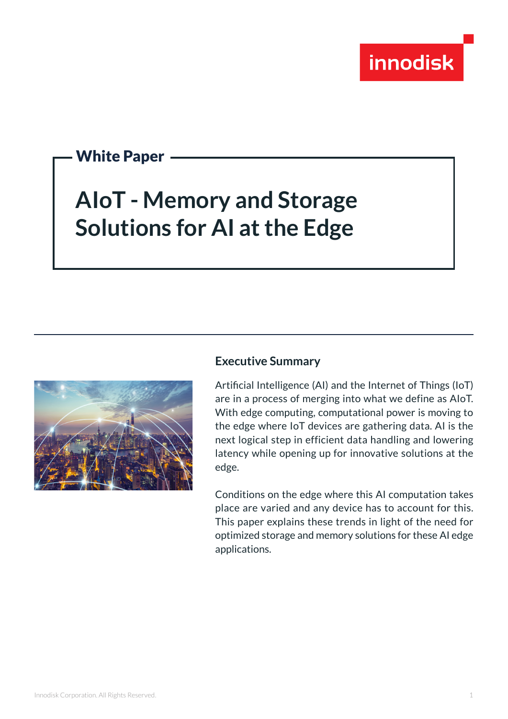

## White Paper

# **AIoT - Memory and Storage Solutions for AI at the Edge**



#### **Executive Summary**

Artificial Intelligence (AI) and the Internet of Things (IoT) are in a process of merging into what we define as AIoT. With edge computing, computational power is moving to the edge where IoT devices are gathering data. AI is the next logical step in efficient data handling and lowering latency while opening up for innovative solutions at the edge.

Conditions on the edge where this AI computation takes place are varied and any device has to account for this. This paper explains these trends in light of the need for optimized storage and memory solutions for these AI edge applications.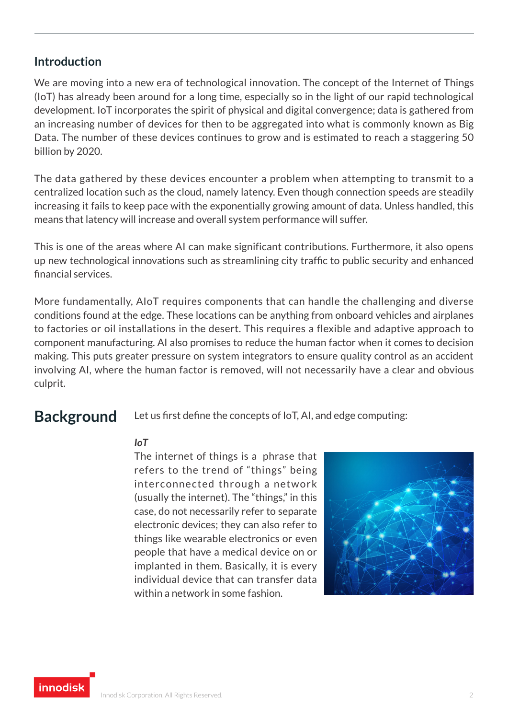### **Introduction**

We are moving into a new era of technological innovation. The concept of the Internet of Things (IoT) has already been around for a long time, especially so in the light of our rapid technological development. IoT incorporates the spirit of physical and digital convergence; data is gathered from an increasing number of devices for then to be aggregated into what is commonly known as Big Data. The number of these devices continues to grow and is estimated to reach a staggering 50 billion by 2020.

The data gathered by these devices encounter a problem when attempting to transmit to a centralized location such as the cloud, namely latency. Even though connection speeds are steadily increasing it fails to keep pace with the exponentially growing amount of data. Unless handled, this means that latency will increase and overall system performance will suffer.

This is one of the areas where AI can make significant contributions. Furthermore, it also opens up new technological innovations such as streamlining city traffic to public security and enhanced financial services.

More fundamentally, AIoT requires components that can handle the challenging and diverse conditions found at the edge. These locations can be anything from onboard vehicles and airplanes to factories or oil installations in the desert. This requires a flexible and adaptive approach to component manufacturing. AI also promises to reduce the human factor when it comes to decision making. This puts greater pressure on system integrators to ensure quality control as an accident involving AI, where the human factor is removed, will not necessarily have a clear and obvious culprit.

**Background** Let us first define the concepts of IoT, AI, and edge computing:

#### *IoT*

The internet of things is a phrase that refers to the trend of "things" being interconnected through a network (usually the internet). The "things," in this case, do not necessarily refer to separate electronic devices; they can also refer to things like wearable electronics or even people that have a medical device on or implanted in them. Basically, it is every individual device that can transfer data within a network in some fashion.



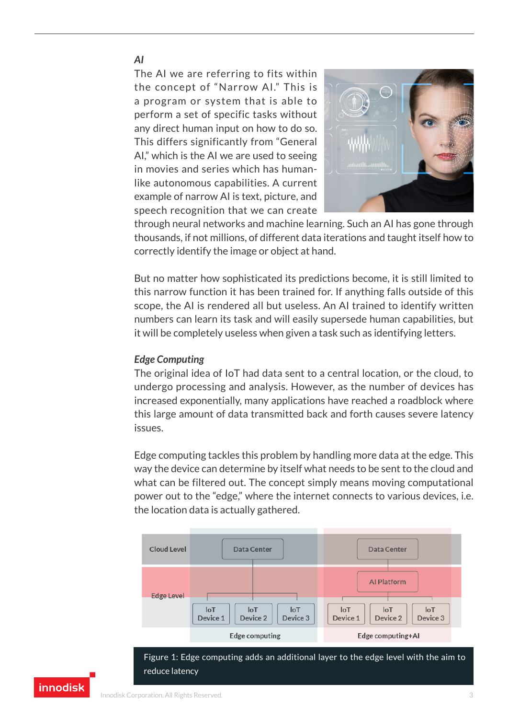#### *AI*

The AI we are referring to fits within the concept of "Narrow AI." This is a program or system that is able to perform a set of specific tasks without any direct human input on how to do so. This differs significantly from "General AI," which is the AI we are used to seeing in movies and series which has humanlike autonomous capabilities. A current example of narrow AI is text, picture, and speech recognition that we can create



through neural networks and machine learning. Such an AI has gone through thousands, if not millions, of different data iterations and taught itself how to correctly identify the image or object at hand.

But no matter how sophisticated its predictions become, it is still limited to this narrow function it has been trained for. If anything falls outside of this scope, the AI is rendered all but useless. An AI trained to identify written numbers can learn its task and will easily supersede human capabilities, but it will be completely useless when given a task such as identifying letters.

#### *Edge Computing*

The original idea of IoT had data sent to a central location, or the cloud, to undergo processing and analysis. However, as the number of devices has increased exponentially, many applications have reached a roadblock where this large amount of data transmitted back and forth causes severe latency issues.

Edge computing tackles this problem by handling more data at the edge. This way the device can determine by itself what needs to be sent to the cloud and what can be filtered out. The concept simply means moving computational power out to the "edge," where the internet connects to various devices, i.e. the location data is actually gathered.



Figure 1: Edge computing adds an additional layer to the edge level with the aim to reduce latency

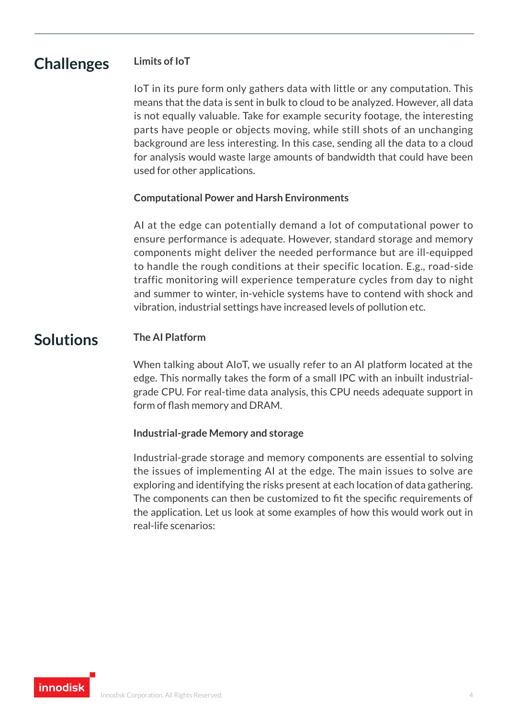#### **Limits of IoT Challenges**

IoT in its pure form only gathers data with little or any computation. This means that the data is sent in bulk to cloud to be analyzed. However, all data is not equally valuable. Take for example security footage, the interesting parts have people or objects moving, while still shots of an unchanging background are less interesting. In this case, sending all the data to a cloud for analysis would waste large amounts of bandwidth that could have been used for other applications.

#### **Computational Power and Harsh Environments**

AI at the edge can potentially demand a lot of computational power to ensure performance is adequate. However, standard storage and memory components might deliver the needed performance but are ill-equipped to handle the rough conditions at their specific location. E.g., road-side traffic monitoring will experience temperature cycles from day to night and summer to winter, in-vehicle systems have to contend with shock and vibration, industrial settings have increased levels of pollution etc.

#### **Solutions The AI Platform**

When talking about AIoT, we usually refer to an AI platform located at the edge. This normally takes the form of a small IPC with an inbuilt industrialgrade CPU. For real-time data analysis, this CPU needs adequate support in form of flash memory and DRAM.

#### **Industrial-grade Memory and storage**

Industrial-grade storage and memory components are essential to solving the issues of implementing AI at the edge. The main issues to solve are exploring and identifying the risks present at each location of data gathering. The components can then be customized to fit the specific requirements of the application. Let us look at some examples of how this would work out in real-life scenarios:

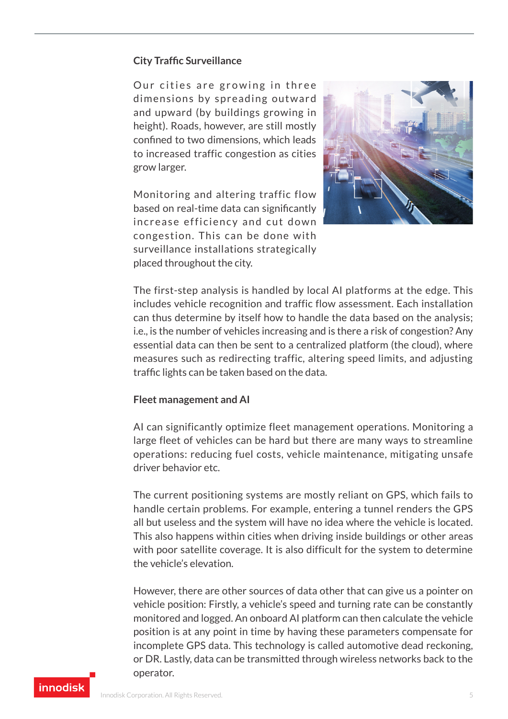#### **City Traffic Surveillance**

Our cities are growing in three dimensions by spreading outward and upward (by buildings growing in height). Roads, however, are still mostly confined to two dimensions, which leads to increased traffic congestion as cities grow larger.

Monitoring and altering traffic flow based on real-time data can significantly increase efficiency and cut down congestion. This can be done with surveillance installations strategically placed throughout the city.



The first-step analysis is handled by local AI platforms at the edge. This includes vehicle recognition and traffic flow assessment. Each installation can thus determine by itself how to handle the data based on the analysis; i.e., is the number of vehicles increasing and is there a risk of congestion? Any essential data can then be sent to a centralized platform (the cloud), where measures such as redirecting traffic, altering speed limits, and adjusting traffic lights can be taken based on the data.

#### **Fleet management and AI**

AI can significantly optimize fleet management operations. Monitoring a large fleet of vehicles can be hard but there are many ways to streamline operations: reducing fuel costs, vehicle maintenance, mitigating unsafe driver behavior etc.

The current positioning systems are mostly reliant on GPS, which fails to handle certain problems. For example, entering a tunnel renders the GPS all but useless and the system will have no idea where the vehicle is located. This also happens within cities when driving inside buildings or other areas with poor satellite coverage. It is also difficult for the system to determine the vehicle's elevation.

However, there are other sources of data other that can give us a pointer on vehicle position: Firstly, a vehicle's speed and turning rate can be constantly monitored and logged. An onboard AI platform can then calculate the vehicle position is at any point in time by having these parameters compensate for incomplete GPS data. This technology is called automotive dead reckoning, or DR. Lastly, data can be transmitted through wireless networks back to the operator.